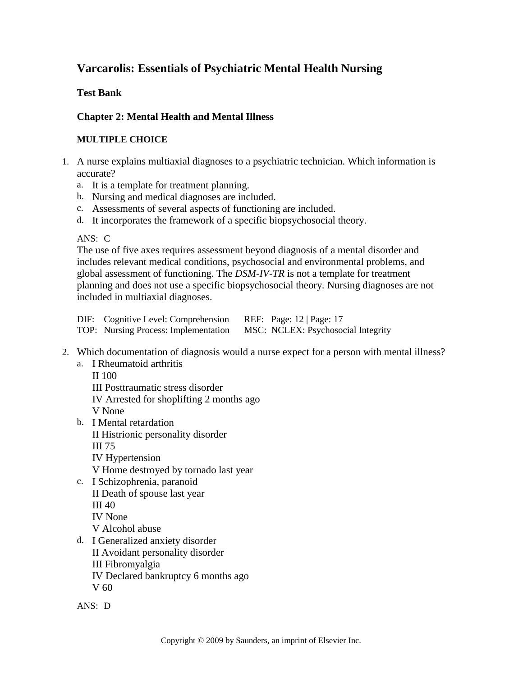# **Varcarolis: Essentials of Psychiatric Mental Health Nursing**

## **Test Bank**

## **Chapter 2: Mental Health and Mental Illness**

#### **MULTIPLE CHOICE**

- 1. A nurse explains multiaxial diagnoses to a psychiatric technician. Which information is accurate?
	- a. It is a template for treatment planning.
	- b. Nursing and medical diagnoses are included.
	- c. Assessments of several aspects of functioning are included.
	- d. It incorporates the framework of a specific biopsychosocial theory.

ANS: C

The use of five axes requires assessment beyond diagnosis of a mental disorder and includes relevant medical conditions, psychosocial and environmental problems, and global assessment of functioning. The *DSM-IV-TR* is not a template for treatment planning and does not use a specific biopsychosocial theory. Nursing diagnoses are not included in multiaxial diagnoses.

| DIF: Cognitive Level: Comprehension  | REF: Page: $12 \mid \text{Page}: 17$ |
|--------------------------------------|--------------------------------------|
| TOP: Nursing Process: Implementation | MSC: NCLEX: Psychosocial Integrity   |

- 2. Which documentation of diagnosis would a nurse expect for a person with mental illness?
	- a. I Rheumatoid arthritis
		- II 100 III Posttraumatic stress disorder IV Arrested for shoplifting 2 months ago V None
	- b. I Mental retardation II Histrionic personality disorder III 75 IV Hypertension V Home destroyed by tornado last year
	- c. I Schizophrenia, paranoid II Death of spouse last year III 40 IV None V Alcohol abuse
	- d. I Generalized anxiety disorder II Avoidant personality disorder III Fibromyalgia IV Declared bankruptcy 6 months ago V 60
	- ANS: D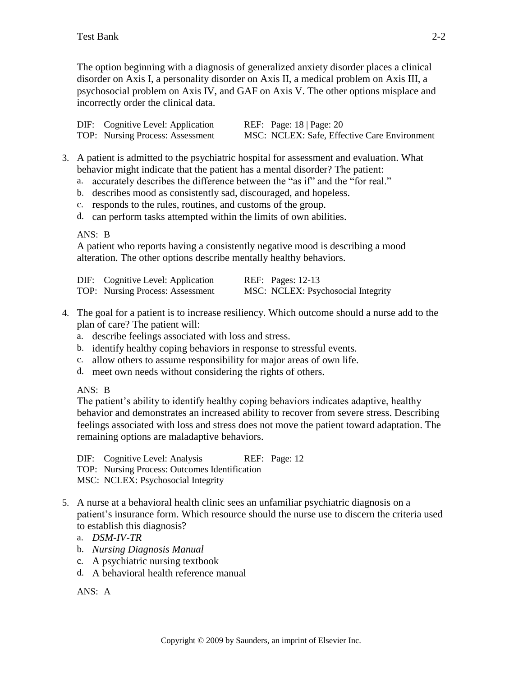The option beginning with a diagnosis of generalized anxiety disorder places a clinical disorder on Axis I, a personality disorder on Axis II, a medical problem on Axis III, a psychosocial problem on Axis IV, and GAF on Axis V. The other options misplace and incorrectly order the clinical data.

| DIF: Cognitive Level: Application | REF: Page: $18 \mid \text{Page: } 20$        |
|-----------------------------------|----------------------------------------------|
| TOP: Nursing Process: Assessment  | MSC: NCLEX: Safe, Effective Care Environment |

- 3. A patient is admitted to the psychiatric hospital for assessment and evaluation. What behavior might indicate that the patient has a mental disorder? The patient:
	- a. accurately describes the difference between the "as if" and the "for real."
	- b. describes mood as consistently sad, discouraged, and hopeless.
	- c. responds to the rules, routines, and customs of the group.
	- d. can perform tasks attempted within the limits of own abilities.

ANS: B

A patient who reports having a consistently negative mood is describing a mood alteration. The other options describe mentally healthy behaviors.

| DIF: Cognitive Level: Application | <b>REF:</b> Pages: 12-13           |
|-----------------------------------|------------------------------------|
| TOP: Nursing Process: Assessment  | MSC: NCLEX: Psychosocial Integrity |

- 4. The goal for a patient is to increase resiliency. Which outcome should a nurse add to the plan of care? The patient will:
	- a. describe feelings associated with loss and stress.
	- b. identify healthy coping behaviors in response to stressful events.
	- c. allow others to assume responsibility for major areas of own life.
	- d. meet own needs without considering the rights of others.

ANS: B

The patient's ability to identify healthy coping behaviors indicates adaptive, healthy behavior and demonstrates an increased ability to recover from severe stress. Describing feelings associated with loss and stress does not move the patient toward adaptation. The remaining options are maladaptive behaviors.

DIF: Cognitive Level: Analysis REF: Page: 12 TOP: Nursing Process: Outcomes Identification MSC: NCLEX: Psychosocial Integrity

- 5. A nurse at a behavioral health clinic sees an unfamiliar psychiatric diagnosis on a patient's insurance form. Which resource should the nurse use to discern the criteria used to establish this diagnosis?
	- a. *DSM-IV-TR*
	- b. *Nursing Diagnosis Manual*
	- c. A psychiatric nursing textbook
	- d. A behavioral health reference manual

ANS: A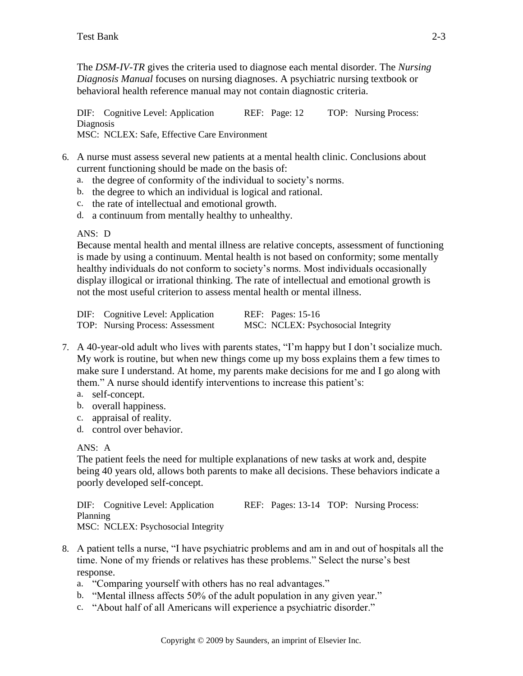The *DSM-IV-TR* gives the criteria used to diagnose each mental disorder. The *Nursing Diagnosis Manual* focuses on nursing diagnoses. A psychiatric nursing textbook or behavioral health reference manual may not contain diagnostic criteria.

DIF: Cognitive Level: Application REF: Page: 12 TOP: Nursing Process: Diagnosis MSC: NCLEX: Safe, Effective Care Environment

- 6. A nurse must assess several new patients at a mental health clinic. Conclusions about current functioning should be made on the basis of:
	- a. the degree of conformity of the individual to society's norms.
	- b. the degree to which an individual is logical and rational.
	- c. the rate of intellectual and emotional growth.
	- d. a continuum from mentally healthy to unhealthy.

#### ANS: D

Because mental health and mental illness are relative concepts, assessment of functioning is made by using a continuum. Mental health is not based on conformity; some mentally healthy individuals do not conform to society's norms. Most individuals occasionally display illogical or irrational thinking. The rate of intellectual and emotional growth is not the most useful criterion to assess mental health or mental illness.

| DIF: Cognitive Level: Application | <b>REF:</b> Pages: 15-16           |
|-----------------------------------|------------------------------------|
| TOP: Nursing Process: Assessment  | MSC: NCLEX: Psychosocial Integrity |

- 7. A 40-year-old adult who lives with parents states, "I'm happy but I don't socialize much. My work is routine, but when new things come up my boss explains them a few times to make sure I understand. At home, my parents make decisions for me and I go along with them." A nurse should identify interventions to increase this patient's:
	- a. self-concept.
	- b. overall happiness.
	- c. appraisal of reality.
	- d. control over behavior.

#### ANS: A

The patient feels the need for multiple explanations of new tasks at work and, despite being 40 years old, allows both parents to make all decisions. These behaviors indicate a poorly developed self-concept.

DIF: Cognitive Level: Application REF: Pages: 13-14 TOP: Nursing Process: Planning MSC: NCLEX: Psychosocial Integrity

- 8. A patient tells a nurse, "I have psychiatric problems and am in and out of hospitals all the time. None of my friends or relatives has these problems." Select the nurse's best response.
	- a. "Comparing yourself with others has no real advantages."
	- b. "Mental illness affects 50% of the adult population in any given year."
	- c. "About half of all Americans will experience a psychiatric disorder."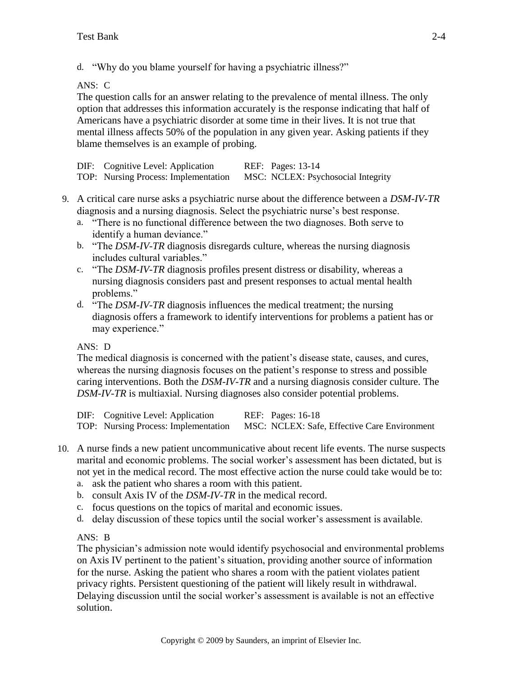d. "Why do you blame yourself for having a psychiatric illness?"

ANS: C

The question calls for an answer relating to the prevalence of mental illness. The only option that addresses this information accurately is the response indicating that half of Americans have a psychiatric disorder at some time in their lives. It is not true that mental illness affects 50% of the population in any given year. Asking patients if they blame themselves is an example of probing.

| DIF: Cognitive Level: Application    | <b>REF:</b> Pages: 13-14           |
|--------------------------------------|------------------------------------|
| TOP: Nursing Process: Implementation | MSC: NCLEX: Psychosocial Integrity |

- 9. A critical care nurse asks a psychiatric nurse about the difference between a *DSM-IV-TR* diagnosis and a nursing diagnosis. Select the psychiatric nurse's best response.
	- a. "There is no functional difference between the two diagnoses. Both serve to identify a human deviance."
	- b. "The *DSM-IV-TR* diagnosis disregards culture, whereas the nursing diagnosis includes cultural variables."
	- c. "The *DSM-IV-TR* diagnosis profiles present distress or disability, whereas a nursing diagnosis considers past and present responses to actual mental health problems."
	- d. "The *DSM-IV-TR* diagnosis influences the medical treatment; the nursing diagnosis offers a framework to identify interventions for problems a patient has or may experience."

## ANS: D

The medical diagnosis is concerned with the patient's disease state, causes, and cures, whereas the nursing diagnosis focuses on the patient's response to stress and possible caring interventions. Both the *DSM-IV-TR* and a nursing diagnosis consider culture. The *DSM-IV-TR* is multiaxial. Nursing diagnoses also consider potential problems.

DIF: Cognitive Level: Application REF: Pages: 16-18 TOP: Nursing Process: Implementation MSC: NCLEX: Safe, Effective Care Environment

- 10. A nurse finds a new patient uncommunicative about recent life events. The nurse suspects marital and economic problems. The social worker's assessment has been dictated, but is not yet in the medical record. The most effective action the nurse could take would be to:
	- a. ask the patient who shares a room with this patient.
	- b. consult Axis IV of the *DSM-IV-TR* in the medical record.
	- c. focus questions on the topics of marital and economic issues.
	- d. delay discussion of these topics until the social worker's assessment is available.

ANS: B

The physician's admission note would identify psychosocial and environmental problems on Axis IV pertinent to the patient's situation, providing another source of information for the nurse. Asking the patient who shares a room with the patient violates patient privacy rights. Persistent questioning of the patient will likely result in withdrawal. Delaying discussion until the social worker's assessment is available is not an effective solution.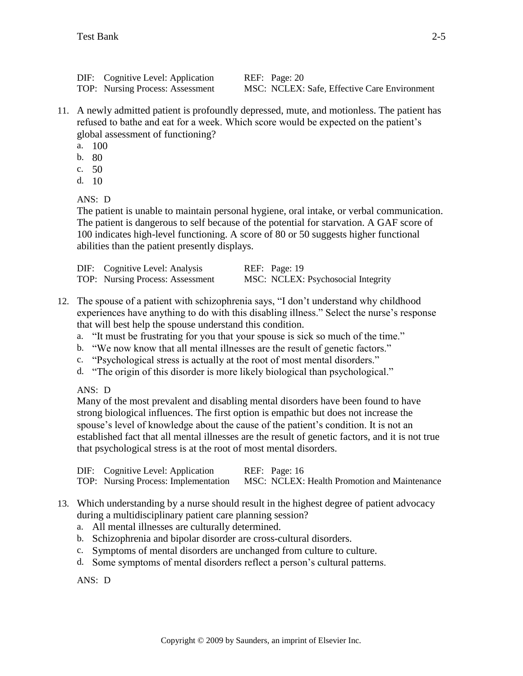DIF: Cognitive Level: Application REF: Page: 20

TOP: Nursing Process: Assessment MSC: NCLEX: Safe, Effective Care Environment

- 11. A newly admitted patient is profoundly depressed, mute, and motionless. The patient has refused to bathe and eat for a week. Which score would be expected on the patient's global assessment of functioning?
	- a. 100
	- b. 80
	- c. 50
	- d. 10

 $ANS: D$ 

The patient is unable to maintain personal hygiene, oral intake, or verbal communication. The patient is dangerous to self because of the potential for starvation. A GAF score of 100 indicates high-level functioning. A score of 80 or 50 suggests higher functional abilities than the patient presently displays.

| DIF: Cognitive Level: Analysis   | REF: Page: 19                      |
|----------------------------------|------------------------------------|
| TOP: Nursing Process: Assessment | MSC: NCLEX: Psychosocial Integrity |

- 12. The spouse of a patient with schizophrenia says, "I don't understand why childhood experiences have anything to do with this disabling illness." Select the nurse's response that will best help the spouse understand this condition.
	- a. "It must be frustrating for you that your spouse is sick so much of the time."
	- b. "We now know that all mental illnesses are the result of genetic factors."
	- c. "Psychological stress is actually at the root of most mental disorders."
	- d. "The origin of this disorder is more likely biological than psychological."

ANS: D

Many of the most prevalent and disabling mental disorders have been found to have strong biological influences. The first option is empathic but does not increase the spouse's level of knowledge about the cause of the patient's condition. It is not an established fact that all mental illnesses are the result of genetic factors, and it is not true that psychological stress is at the root of most mental disorders.

| DIF: Cognitive Level: Application    | REF: Page: 16                                |
|--------------------------------------|----------------------------------------------|
| TOP: Nursing Process: Implementation | MSC: NCLEX: Health Promotion and Maintenance |

- 13. Which understanding by a nurse should result in the highest degree of patient advocacy during a multidisciplinary patient care planning session?
	- a. All mental illnesses are culturally determined.
	- b. Schizophrenia and bipolar disorder are cross-cultural disorders.
	- c. Symptoms of mental disorders are unchanged from culture to culture.
	- d. Some symptoms of mental disorders reflect a person's cultural patterns.

ANS: D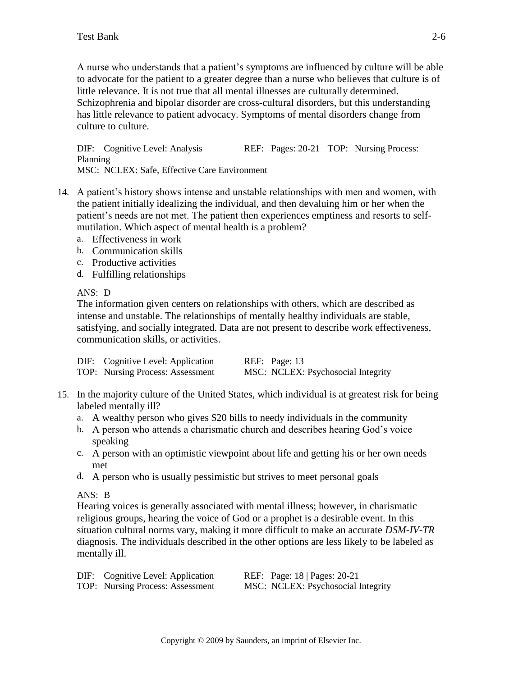A nurse who understands that a patient's symptoms are influenced by culture will be able to advocate for the patient to a greater degree than a nurse who believes that culture is of little relevance. It is not true that all mental illnesses are culturally determined. Schizophrenia and bipolar disorder are cross-cultural disorders, but this understanding has little relevance to patient advocacy. Symptoms of mental disorders change from culture to culture.

DIF: Cognitive Level: Analysis REF: Pages: 20-21 TOP: Nursing Process: Planning MSC: NCLEX: Safe, Effective Care Environment

- 14. A patient's history shows intense and unstable relationships with men and women, with the patient initially idealizing the individual, and then devaluing him or her when the patient's needs are not met. The patient then experiences emptiness and resorts to selfmutilation. Which aspect of mental health is a problem?
	- a. Effectiveness in work
	- b. Communication skills
	- c. Productive activities
	- d. Fulfilling relationships

ANS: D

The information given centers on relationships with others, which are described as intense and unstable. The relationships of mentally healthy individuals are stable, satisfying, and socially integrated. Data are not present to describe work effectiveness, communication skills, or activities.

| DIF: Cognitive Level: Application | REF: Page: 13                      |
|-----------------------------------|------------------------------------|
| TOP: Nursing Process: Assessment  | MSC: NCLEX: Psychosocial Integrity |

- 15. In the majority culture of the United States, which individual is at greatest risk for being labeled mentally ill?
	- a. A wealthy person who gives \$20 bills to needy individuals in the community
	- b. A person who attends a charismatic church and describes hearing God's voice speaking
	- c. A person with an optimistic viewpoint about life and getting his or her own needs met
	- d. A person who is usually pessimistic but strives to meet personal goals

## ANS: B

Hearing voices is generally associated with mental illness; however, in charismatic religious groups, hearing the voice of God or a prophet is a desirable event. In this situation cultural norms vary, making it more difficult to make an accurate *DSM-IV-TR* diagnosis. The individuals described in the other options are less likely to be labeled as mentally ill.

| DIF: Cognitive Level: Application | REF: Page: 18   Pages: 20-21       |
|-----------------------------------|------------------------------------|
| TOP: Nursing Process: Assessment  | MSC: NCLEX: Psychosocial Integrity |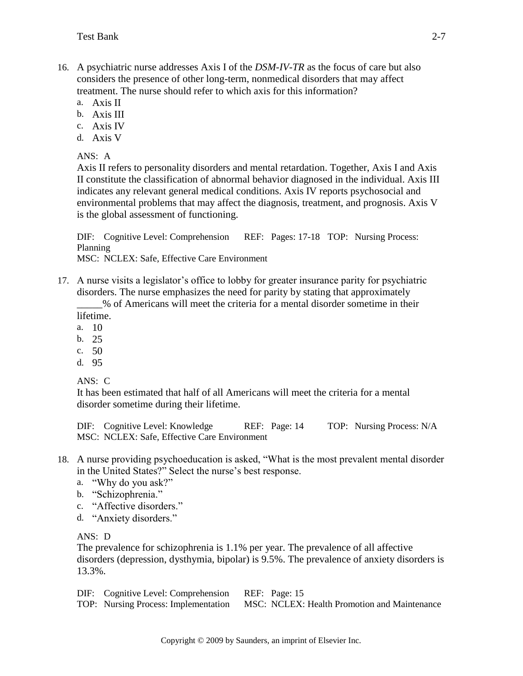- 16. A psychiatric nurse addresses Axis I of the *DSM-IV-TR* as the focus of care but also considers the presence of other long-term, nonmedical disorders that may affect treatment. The nurse should refer to which axis for this information?
	- a. Axis II
	- b. Axis III
	- c. Axis IV
	- d. Axis V

ANS: A

Axis II refers to personality disorders and mental retardation. Together, Axis I and Axis II constitute the classification of abnormal behavior diagnosed in the individual. Axis III indicates any relevant general medical conditions. Axis IV reports psychosocial and environmental problems that may affect the diagnosis, treatment, and prognosis. Axis V is the global assessment of functioning.

DIF: Cognitive Level: Comprehension REF: Pages: 17-18 TOP: Nursing Process: Planning MSC: NCLEX: Safe, Effective Care Environment

17. A nurse visits a legislator's office to lobby for greater insurance parity for psychiatric disorders. The nurse emphasizes the need for parity by stating that approximately

\_\_\_\_\_% of Americans will meet the criteria for a mental disorder sometime in their lifetime.

- a. 10
- b. 25
- c. 50
- d. 95

ANS: C

It has been estimated that half of all Americans will meet the criteria for a mental disorder sometime during their lifetime.

DIF: Cognitive Level: Knowledge REF: Page: 14 TOP: Nursing Process: N/A MSC: NCLEX: Safe, Effective Care Environment

- 18. A nurse providing psychoeducation is asked, "What is the most prevalent mental disorder in the United States?" Select the nurse's best response.
	- a. "Why do you ask?"
	- b. "Schizophrenia."
	- c. "Affective disorders."
	- d. "Anxiety disorders."

ANS: D

The prevalence for schizophrenia is 1.1% per year. The prevalence of all affective disorders (depression, dysthymia, bipolar) is 9.5%. The prevalence of anxiety disorders is 13.3%.

DIF: Cognitive Level: Comprehension REF: Page: 15 TOP: Nursing Process: Implementation MSC: NCLEX: Health Promotion and Maintenance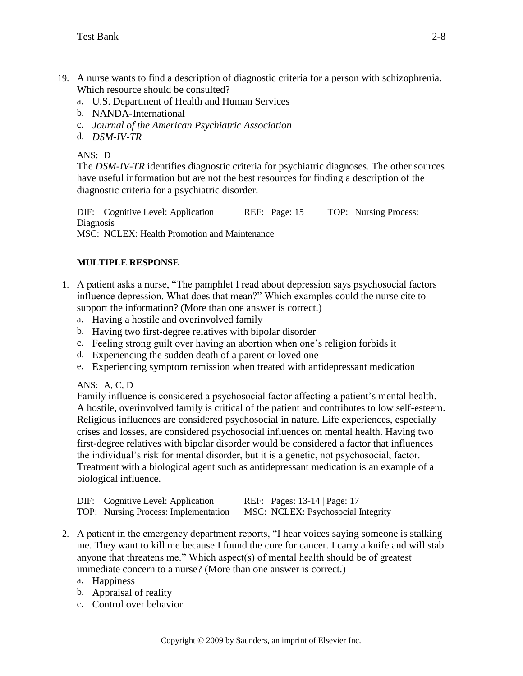- 19. A nurse wants to find a description of diagnostic criteria for a person with schizophrenia. Which resource should be consulted?
	- a. U.S. Department of Health and Human Services
	- b. NANDA-International
	- c. *Journal of the American Psychiatric Association*
	- d. *DSM-IV-TR*

ANS: D

The *DSM-IV-TR* identifies diagnostic criteria for psychiatric diagnoses. The other sources have useful information but are not the best resources for finding a description of the diagnostic criteria for a psychiatric disorder.

DIF: Cognitive Level: Application REF: Page: 15 TOP: Nursing Process: Diagnosis MSC: NCLEX: Health Promotion and Maintenance

## **MULTIPLE RESPONSE**

- 1. A patient asks a nurse, "The pamphlet I read about depression says psychosocial factors influence depression. What does that mean?" Which examples could the nurse cite to support the information? (More than one answer is correct.)
	- a. Having a hostile and overinvolved family
	- b. Having two first-degree relatives with bipolar disorder
	- c. Feeling strong guilt over having an abortion when one's religion forbids it
	- d. Experiencing the sudden death of a parent or loved one
	- e. Experiencing symptom remission when treated with antidepressant medication

ANS: A, C, D

Family influence is considered a psychosocial factor affecting a patient's mental health. A hostile, overinvolved family is critical of the patient and contributes to low self-esteem. Religious influences are considered psychosocial in nature. Life experiences, especially crises and losses, are considered psychosocial influences on mental health. Having two first-degree relatives with bipolar disorder would be considered a factor that influences the individual's risk for mental disorder, but it is a genetic, not psychosocial, factor. Treatment with a biological agent such as antidepressant medication is an example of a biological influence.

| DIF: Cognitive Level: Application    | REF: Pages: 13-14   Page: 17       |
|--------------------------------------|------------------------------------|
| TOP: Nursing Process: Implementation | MSC: NCLEX: Psychosocial Integrity |

- 2. A patient in the emergency department reports, "I hear voices saying someone is stalking me. They want to kill me because I found the cure for cancer. I carry a knife and will stab anyone that threatens me." Which aspect(s) of mental health should be of greatest immediate concern to a nurse? (More than one answer is correct.)
	- a. Happiness
	- b. Appraisal of reality
	- c. Control over behavior